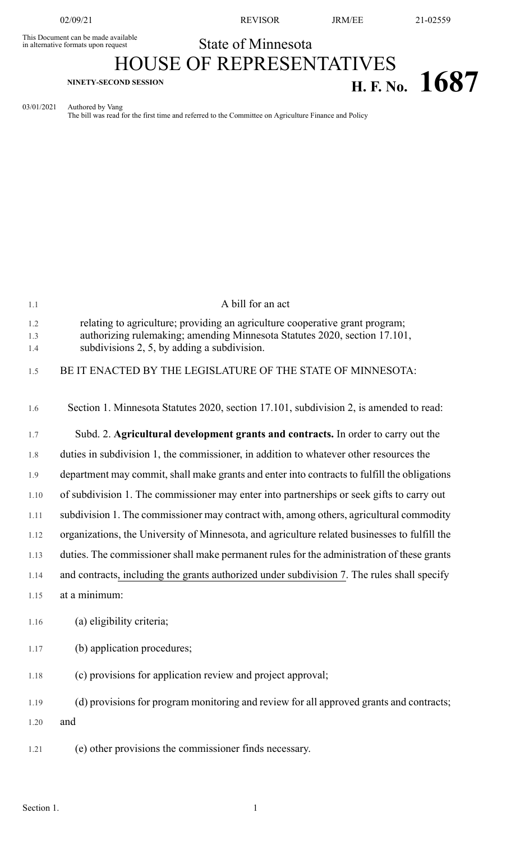This Document can be made available<br>in alternative formats upon request

02/09/21 REVISOR JRM/EE 21-02559

## State of Minnesota

## HOUSE OF REPRESENTATIVES **H. F. No. 1687 H. F. No. 1687**

03/01/2021 Authored by Vang The bill was read for the first time and referred to the Committee on Agriculture Finance and Policy

| 1.1               | A bill for an act                                                                                                                                                                                        |
|-------------------|----------------------------------------------------------------------------------------------------------------------------------------------------------------------------------------------------------|
| 1.2<br>1.3<br>1.4 | relating to agriculture; providing an agriculture cooperative grant program;<br>authorizing rulemaking; amending Minnesota Statutes 2020, section 17.101,<br>subdivisions 2, 5, by adding a subdivision. |
| 1.5               | BE IT ENACTED BY THE LEGISLATURE OF THE STATE OF MINNESOTA:                                                                                                                                              |
| 1.6               | Section 1. Minnesota Statutes 2020, section 17.101, subdivision 2, is amended to read:                                                                                                                   |
| 1.7               | Subd. 2. Agricultural development grants and contracts. In order to carry out the                                                                                                                        |
| 1.8               | duties in subdivision 1, the commissioner, in addition to whatever other resources the                                                                                                                   |
| 1.9               | department may commit, shall make grants and enter into contracts to fulfill the obligations                                                                                                             |
| 1.10              | of subdivision 1. The commissioner may enter into partnerships or seek gifts to carry out                                                                                                                |
| 1.11              | subdivision 1. The commissioner may contract with, among others, agricultural commodity                                                                                                                  |
| 1.12              | organizations, the University of Minnesota, and agriculture related businesses to fulfill the                                                                                                            |
| 1.13              | duties. The commissioner shall make permanent rules for the administration of these grants                                                                                                               |
| 1.14              | and contracts, including the grants authorized under subdivision 7. The rules shall specify                                                                                                              |
| 1.15              | at a minimum:                                                                                                                                                                                            |
| 1.16              | (a) eligibility criteria;                                                                                                                                                                                |
| 1.17              | (b) application procedures;                                                                                                                                                                              |
| 1.18              | (c) provisions for application review and project approval;                                                                                                                                              |
| 1.19              | (d) provisions for program monitoring and review for all approved grants and contracts;                                                                                                                  |
| 1.20              | and                                                                                                                                                                                                      |
| 1.21              | (e) other provisions the commissioner finds necessary.                                                                                                                                                   |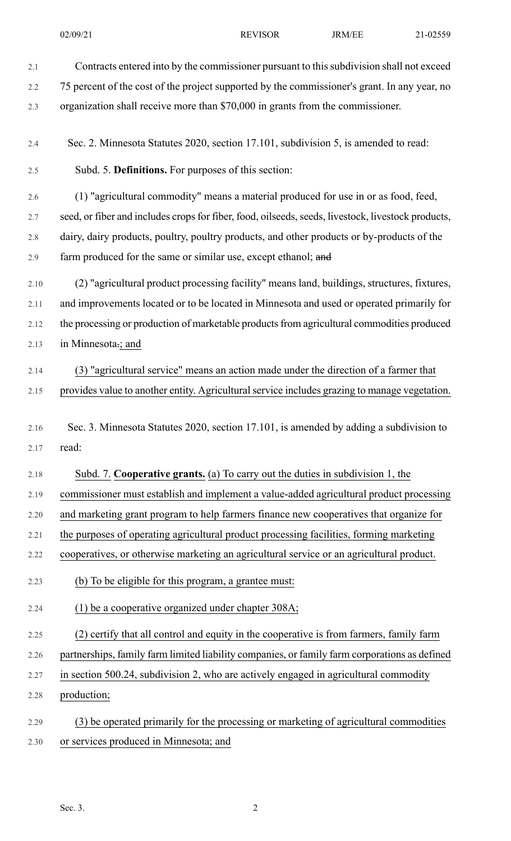| 2.1  | Contracts entered into by the commissioner pursuant to this subdivision shall not exceed           |
|------|----------------------------------------------------------------------------------------------------|
| 2.2  | 75 percent of the cost of the project supported by the commissioner's grant. In any year, no       |
| 2.3  | organization shall receive more than \$70,000 in grants from the commissioner.                     |
| 2.4  | Sec. 2. Minnesota Statutes 2020, section 17.101, subdivision 5, is amended to read:                |
| 2.5  | Subd. 5. Definitions. For purposes of this section:                                                |
| 2.6  | (1) "agricultural commodity" means a material produced for use in or as food, feed,                |
| 2.7  | seed, or fiber and includes crops for fiber, food, oilseeds, seeds, livestock, livestock products, |
| 2.8  | dairy, dairy products, poultry, poultry products, and other products or by-products of the         |
| 2.9  | farm produced for the same or similar use, except ethanol; and                                     |
| 2.10 | (2) "agricultural product processing facility" means land, buildings, structures, fixtures,        |
| 2.11 | and improvements located or to be located in Minnesota and used or operated primarily for          |
| 2.12 | the processing or production of marketable products from agricultural commodities produced         |
| 2.13 | in Minnesota.; and                                                                                 |
| 2.14 | (3) "agricultural service" means an action made under the direction of a farmer that               |
| 2.15 | provides value to another entity. Agricultural service includes grazing to manage vegetation.      |
|      |                                                                                                    |
| 2.16 | Sec. 3. Minnesota Statutes 2020, section 17.101, is amended by adding a subdivision to             |
| 2.17 | read:                                                                                              |
| 2.18 | Subd. 7. Cooperative grants. (a) To carry out the duties in subdivision 1, the                     |
| 2.19 | commissioner must establish and implement a value-added agricultural product processing            |
| 2.20 | and marketing grant program to help farmers finance new cooperatives that organize for             |
| 2.21 | the purposes of operating agricultural product processing facilities, forming marketing            |
| 2.22 | cooperatives, or otherwise marketing an agricultural service or an agricultural product.           |
| 2.23 | (b) To be eligible for this program, a grantee must:                                               |
| 2.24 | (1) be a cooperative organized under chapter 308A;                                                 |
| 2.25 | (2) certify that all control and equity in the cooperative is from farmers, family farm            |
| 2.26 | partnerships, family farm limited liability companies, or family farm corporations as defined      |
| 2.27 | in section 500.24, subdivision 2, who are actively engaged in agricultural commodity               |
| 2.28 | production;                                                                                        |
| 2.29 | (3) be operated primarily for the processing or marketing of agricultural commodities              |
| 2.30 | or services produced in Minnesota; and                                                             |